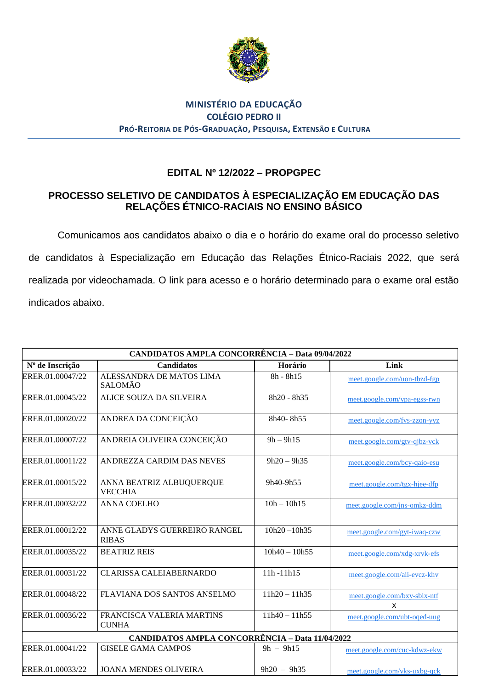

## **Nota MINISTÉRIO DA EDUCAÇÃO COLÉGIO PEDRO II PRÓ-REITORIA DE PÓS-GRADUAÇÃO, PESQUISA, EXTENSÃO E CULTURA**

## **EDITAL Nº 12/2022 – PROPGPEC**

## **PROCESSO SELETIVO DE CANDIDATOS À ESPECIALIZAÇÃO EM EDUCAÇÃO DAS RELAÇÕES ÉTNICO-RACIAIS NO ENSINO BÁSICO**

Comunicamos aos candidatos abaixo o dia e o horário do exame oral do processo seletivo de candidatos à Especialização em Educação das Relações Étnico-Raciais 2022, que será realizada por videochamada. O link para acesso e o horário determinado para o exame oral estão indicados abaixo.

| <b>CANDIDATOS AMPLA CONCORRÊNCIA - Data 09/04/2022</b> |                                              |                 |                                   |  |  |  |
|--------------------------------------------------------|----------------------------------------------|-----------------|-----------------------------------|--|--|--|
| Nº de Inscrição                                        | Candidatos                                   | Horário         | Link                              |  |  |  |
| ERER.01.00047/22                                       | ALESSANDRA DE MATOS LIMA<br>SALOMÃO          | $8h - 8h15$     | meet.google.com/uon-tbzd-fgp      |  |  |  |
| ERER.01.00045/22                                       | ALICE SOUZA DA SILVEIRA                      | 8h20 - 8h35     | meet.google.com/ypa-egss-rwn      |  |  |  |
| ERER.01.00020/22                                       | ANDREA DA CONCEIÇÃO                          | 8h40-8h55       | meet.google.com/fvs-zzon-yyz      |  |  |  |
| ERER.01.00007/22                                       | ANDREIA OLIVEIRA CONCEIÇÃO                   | $9h - 9h15$     | meet.google.com/gtv-qjbz-vck      |  |  |  |
| ERER.01.00011/22                                       | ANDREZZA CARDIM DAS NEVES                    | $9h20 - 9h35$   | meet.google.com/bcy-qaio-esu      |  |  |  |
| ERER.01.00015/22                                       | ANNA BEATRIZ ALBUQUERQUE<br><b>VECCHIA</b>   | 9h40-9h55       | meet.google.com/tgx-hjee-dfp      |  |  |  |
| ERER.01.00032/22                                       | <b>ANNA COELHO</b>                           | $10h - 10h15$   | meet.google.com/jns-omkz-ddm      |  |  |  |
| ERER.01.00012/22                                       | ANNE GLADYS GUERREIRO RANGEL<br><b>RIBAS</b> | $10h20 - 10h35$ | meet.google.com/gyt-iwaq-czw      |  |  |  |
| ERER.01.00035/22                                       | <b>BEATRIZ REIS</b>                          | $10h40 - 10h55$ | meet.google.com/xdg-xrvk-efs      |  |  |  |
| ERER.01.00031/22                                       | <b>CLARISSA CALEIABERNARDO</b>               | 11h-11h15       | meet.google.com/aii-evcz-khv      |  |  |  |
| ERER.01.00048/22                                       | FLAVIANA DOS SANTOS ANSELMO                  | $11h20 - 11h35$ | meet.google.com/bxy-sbix-ntf<br>x |  |  |  |
| ERER.01.00036/22                                       | FRANCISCA VALERIA MARTINS<br><b>CUNHA</b>    | $11h40 - 11h55$ | meet.google.com/ubt-oqed-uug      |  |  |  |
| <b>CANDIDATOS AMPLA CONCORRÊNCIA - Data 11/04/2022</b> |                                              |                 |                                   |  |  |  |
| ERER.01.00041/22                                       | <b>GISELE GAMA CAMPOS</b>                    | $9h - 9h15$     | meet.google.com/cuc-kdwz-ekw      |  |  |  |
| ERER.01.00033/22                                       | <b>JOANA MENDES OLIVEIRA</b>                 | $9h20 - 9h35$   | meet.google.com/vks-uxbg-qck      |  |  |  |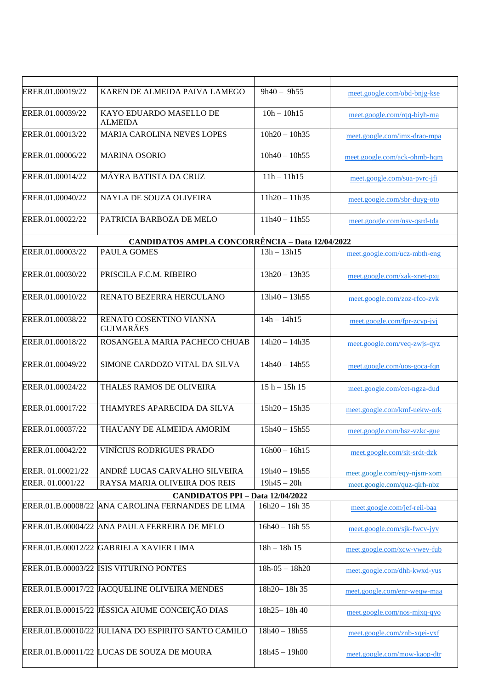| ERER.01.00019/22                        | KAREN DE ALMEIDA PAIVA LAMEGO                          | $9h40 - 9h55$    | meet.google.com/obd-bnjg-kse |  |  |  |
|-----------------------------------------|--------------------------------------------------------|------------------|------------------------------|--|--|--|
| ERER.01.00039/22                        | KAYO EDUARDO MASELLO DE<br><b>ALMEIDA</b>              | $10h - 10h15$    | meet.google.com/rqq-biyh-rna |  |  |  |
| ERER.01.00013/22                        | <b>MARIA CAROLINA NEVES LOPES</b>                      | $10h20 - 10h35$  | meet.google.com/imx-drao-mpa |  |  |  |
| ERER.01.00006/22                        | <b>MARINA OSORIO</b>                                   | $10h40 - 10h55$  | meet.google.com/ack-ohmb-hqm |  |  |  |
| ERER.01.00014/22                        | MÁYRA BATISTA DA CRUZ                                  | $11h - 11h15$    | meet.google.com/sua-pvrc-jfi |  |  |  |
| ERER.01.00040/22                        | NAYLA DE SOUZA OLIVEIRA                                | $11h20 - 11h35$  | meet.google.com/sbr-duyg-oto |  |  |  |
| ERER.01.00022/22                        | PATRICIA BARBOZA DE MELO                               | $11h40 - 11h55$  | meet.google.com/nsv-qsrd-tda |  |  |  |
|                                         | <b>CANDIDATOS AMPLA CONCORRÊNCIA - Data 12/04/2022</b> |                  |                              |  |  |  |
| ERER.01.00003/22                        | <b>PAULA GOMES</b>                                     | $13h - 13h15$    | meet.google.com/ucz-mbth-eng |  |  |  |
| ERER.01.00030/22                        | PRISCILA F.C.M. RIBEIRO                                | $13h20 - 13h35$  | meet.google.com/xak-xnet-pxu |  |  |  |
| ERER.01.00010/22                        | RENATO BEZERRA HERCULANO                               | $13h40 - 13h55$  | meet.google.com/zoz-rfco-zvk |  |  |  |
| ERER.01.00038/22                        | RENATO COSENTINO VIANNA<br><b>GUIMARÃES</b>            | $14h - 14h15$    | meet.google.com/fpr-zcyp-jvj |  |  |  |
| ERER.01.00018/22                        | ROSANGELA MARIA PACHECO CHUAB                          | $14h20 - 14h35$  | meet.google.com/veq-zwjs-qyz |  |  |  |
| ERER.01.00049/22                        | SIMONE CARDOZO VITAL DA SILVA                          | $14h40 - 14h55$  | meet.google.com/uos-goca-fqn |  |  |  |
| ERER.01.00024/22                        | THALES RAMOS DE OLIVEIRA                               | $15h - 15h$ 15   | meet.google.com/cet-ngza-dud |  |  |  |
| ERER.01.00017/22                        | THAMYRES APARECIDA DA SILVA                            | $15h20 - 15h35$  | meet.google.com/kmf-uekw-ork |  |  |  |
| ERER.01.00037/22                        | THAUANY DE ALMEIDA AMORIM                              | $15h40 - 15h55$  | meet.google.com/hsz-vzkc-gue |  |  |  |
| ERER.01.00042/22                        | <b>VINÍCIUS RODRIGUES PRADO</b>                        | $16h00 - 16h15$  | meet.google.com/sit-srdt-dzk |  |  |  |
| ERER. 01.00021/22                       | ANDRÉ LUCAS CARVALHO SILVEIRA                          | $19h40 - 19h55$  | meet.google.com/eqy-njsm-xom |  |  |  |
| ERER. 01.0001/22                        | RAYSA MARIA OLIVEIRA DOS REIS                          | $19h45 - 20h$    | meet.google.com/quz-qirh-nbz |  |  |  |
| <b>CANDIDATOS PPI - Data 12/04/2022</b> |                                                        |                  |                              |  |  |  |
| ERER.01.B.00008/22                      | ANA CAROLINA FERNANDES DE LIMA                         | $16h20 - 16h35$  | meet.google.com/jef-reii-baa |  |  |  |
|                                         | ERER.01.B.00004/22 ANA PAULA FERREIRA DE MELO          | $16h40 - 16h55$  | meet.google.com/sjk-fwcv-jyv |  |  |  |
|                                         | ERER.01.B.00012/22 GABRIELA XAVIER LIMA                | $18h - 18h$ 15   | meet.google.com/xcw-vwev-fub |  |  |  |
|                                         | ERER.01.B.00003/22 ISIS VITURINO PONTES                | $18h-05 - 18h20$ | meet.google.com/dhh-kwxd-yus |  |  |  |
|                                         | ERER.01.B.00017/22 JACQUELINE OLIVEIRA MENDES          | 18h20-18h35      | meet.google.com/enr-weqw-maa |  |  |  |
|                                         | ERER.01.B.00015/22 JESSICA AIUME CONCEIÇÃO DIAS        | 18h25-18h40      | meet.google.com/nos-mjxq-qyo |  |  |  |
|                                         | ERER.01.B.00010/22 JULIANA DO ESPIRITO SANTO CAMILO    | $18h40 - 18h55$  | meet.google.com/znb-xqei-yxf |  |  |  |
|                                         | ERER.01.B.00011/22 LUCAS DE SOUZA DE MOURA             | $18h45 - 19h00$  | meet.google.com/mow-kaop-dtr |  |  |  |